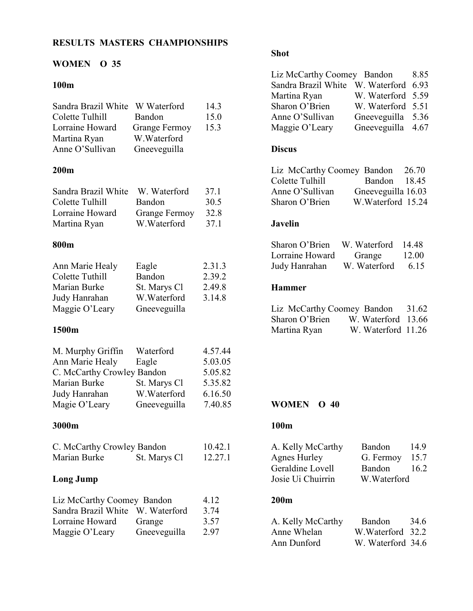# RESULTS MASTERS CHAMPIONSHIPS

### WOMEN O 35

## 100m

| Sandra Brazil White<br>Colette Tulhill<br>Lorraine Howard<br>Martina Ryan<br>Anne O'Sullivan                                | W Waterford<br>Bandon<br><b>Grange Fermoy</b><br>W.Waterford<br>Gneeveguilla | 14.3<br>15.0<br>15.3                                           |
|-----------------------------------------------------------------------------------------------------------------------------|------------------------------------------------------------------------------|----------------------------------------------------------------|
| 200 <sub>m</sub>                                                                                                            |                                                                              |                                                                |
| Sandra Brazil White<br>Colette Tulhill<br>Lorraine Howard<br>Martina Ryan                                                   | W. Waterford<br>Bandon<br><b>Grange Fermoy</b><br>W.Waterford                | 37.1<br>30.5<br>32.8<br>37.1                                   |
| 800m                                                                                                                        |                                                                              |                                                                |
| Ann Marie Healy<br>Colette Tuthill<br>Marian Burke<br>Judy Hanrahan<br>Maggie O'Leary                                       | Eagle<br>Bandon<br>St. Marys Cl<br>W.Waterford<br>Gneeveguilla               | 2.31.3<br>2.39.2<br>2.49.8<br>3.14.8                           |
| 1500m                                                                                                                       |                                                                              |                                                                |
| M. Murphy Griffin<br>Ann Marie Healy<br>C. McCarthy Crowley Bandon<br><b>Marian Burke</b><br>Judy Hanrahan<br>Magie O'Leary | Waterford<br>Eagle<br>St. Marys Cl<br>W.Waterford<br>Gneeveguilla            | 4.57.44<br>5.03.05<br>5.05.82<br>5.35.82<br>6.16.50<br>7.40.85 |
| 3000m                                                                                                                       |                                                                              |                                                                |
| C. McCarthy Crowley Bandon<br>Marian Burke                                                                                  | St. Marys Cl                                                                 | 10.42.1<br>12.27.1                                             |
| <b>Long Jump</b>                                                                                                            |                                                                              |                                                                |
| Liz McCarthy Coomey Bandon<br>Sandra Brazil White W. Waterford<br>Lorraine Howard<br>Maggie O'Leary                         | Grange<br>Gneeveguilla                                                       | 4.12<br>3.74<br>3.57<br>2.97                                   |

# Shot

| Liz McCarthy Coomey Bandon            |                   | 8.85 |
|---------------------------------------|-------------------|------|
| Sandra Brazil White W. Waterford 6.93 |                   |      |
| Martina Ryan                          | W. Waterford 5.59 |      |
| Sharon O'Brien                        | W. Waterford 5.51 |      |
| Anne O'Sullivan                       | Gneeveguilla 5.36 |      |
| Maggie O'Leary                        | Gneeveguilla 4.67 |      |

## Discus

| Liz McCarthy Coomey Bandon |                    | 26.70 |
|----------------------------|--------------------|-------|
| Colette Tulhill            | Bandon 18.45       |       |
| Anne O'Sullivan            | Gneeveguilla 16.03 |       |
| Sharon O'Brien             | W. Waterford 15.24 |       |

#### Javelin

| Sharon O'Brien  | W. Waterford | -14 48 |
|-----------------|--------------|--------|
| Lorraine Howard | Grange       | 12.00  |
| Judy Hanrahan   | W. Waterford | 6 15   |

### Hammer

| Liz McCarthy Coomey Bandon |                    | 31.62 |
|----------------------------|--------------------|-------|
| Sharon O'Brien             | W. Waterford 13.66 |       |
| Martina Ryan               | W. Waterford 11.26 |       |

#### WOMEN O 40

#### 100m

| A. Kelly McCarthy   | Bandon      | 149  |
|---------------------|-------------|------|
| <b>Agnes Hurley</b> | G. Fermoy   | 15.7 |
| Geraldine Lovell    | Bandon      | 16.2 |
| Josie Ui Chuirrin   | W.Waterford |      |
|                     |             |      |

# 200m

| A. Kelly McCarthy | Bandon            | 34.6 |
|-------------------|-------------------|------|
| Anne Whelan       | W.Waterford 32.2  |      |
| Ann Dunford       | W. Waterford 34.6 |      |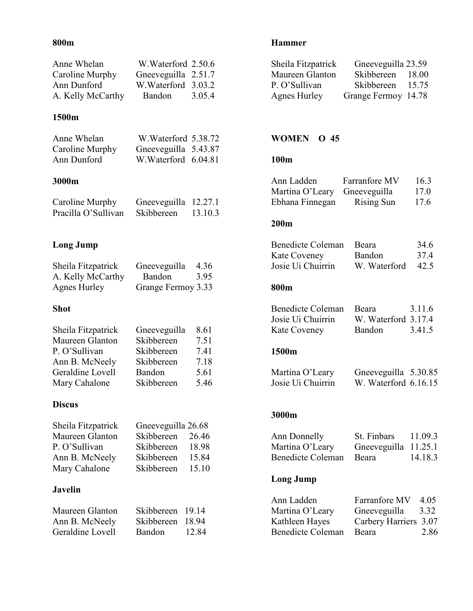## 800m

| Anne Whelan       | W.Waterford 2.50.6  |        |
|-------------------|---------------------|--------|
| Caroline Murphy   | Gneeveguilla 2.51.7 |        |
| Ann Dunford       | W. Waterford 3.03.2 |        |
| A. Kelly McCarthy | Bandon              | 3.05.4 |

## 1500m

| Anne Whelan     | W.Waterford 5.38.72  |  |
|-----------------|----------------------|--|
| Caroline Murphy | Gneeveguilla 5.43.87 |  |
| Ann Dunford     | W.Waterford 6.04.81  |  |
|                 |                      |  |
| 3000m           |                      |  |

| Caroline Murphy     | Gneeveguilla 12.27.1 |         |
|---------------------|----------------------|---------|
| Pracilla O'Sullivan | Skibbereen           | 13.10.3 |

# Long Jump

| Sheila Fitzpatrick | Gneeveguilla       | 4.36 |
|--------------------|--------------------|------|
| A. Kelly McCarthy  | Bandon             | 3.95 |
| Agnes Hurley       | Grange Fermoy 3.33 |      |

# Shot

| Sheila Fitzpatrick | Gneeveguilla | 8.61 |
|--------------------|--------------|------|
| Maureen Glanton    | Skibbereen   | 7.51 |
| P. O'Sullivan      | Skibbereen   | 7.41 |
| Ann B. McNeely     | Skibbereen   | 7.18 |
| Geraldine Lovell   | Bandon       | 5.61 |
| Mary Cahalone      | Skibbereen   | 5.46 |

#### Discus

| Gneeveguilla 26.68 |       |
|--------------------|-------|
| Skibbereen         | 26.46 |
| Skibbereen         | 18.98 |
| Skibbereen         | 15.84 |
| Skibbereen         | 15.10 |
|                    |       |

# Javelin

| Maureen Glanton  | Skibbereen 19.14 |       |
|------------------|------------------|-------|
| Ann B. McNeely   | Skibbereen 18.94 |       |
| Geraldine Lovell | Bandon           | 12.84 |

# Hammer

| Sheila Fitzpatrick | Gneeveguilla 23.59  |       |
|--------------------|---------------------|-------|
| Maureen Glanton    | Skibbereen          | 18.00 |
| P. O'Sullivan      | Skibbereen          | 15.75 |
| Agnes Hurley       | Grange Fermoy 14.78 |       |

#### WOMEN O 45

# 100m

| Ann Ladden      | Farranfore MV     | 16.3 |
|-----------------|-------------------|------|
| Martina O'Leary | Gneeveguilla      | 17.0 |
| Ebhana Finnegan | <b>Rising Sun</b> | 17.6 |

#### 200m

| Benedicte Coleman | <b>Beara</b> | 34.6 |
|-------------------|--------------|------|
| Kate Coveney      | Bandon       | 374  |
| Josie Ui Chuirrin | W. Waterford | 42.5 |

#### 800m

| Benedicte Coleman | <b>Beara</b>        | 3 1 1 6 |
|-------------------|---------------------|---------|
| Josie Ui Chuirrin | W. Waterford 3.17.4 |         |
| Kate Coveney      | Bandon              | 3.41.5  |

# 1500m

| Martina O'Leary   | Gneeveguilla 5.30.85 |  |
|-------------------|----------------------|--|
| Josie Ui Chuirrin | W. Waterford 6.16.15 |  |

#### 3000m

| Ann Donnelly      | St. Finbars          | 11.09.3 |
|-------------------|----------------------|---------|
| Martina O'Leary   | Gneeveguilla 11.25.1 |         |
| Benedicte Coleman | Beara                | 14.18.3 |

## Long Jump

| Ann Ladden               | Farranfore MV         | 4.05 |
|--------------------------|-----------------------|------|
| Martina O'Leary          | Gneeveguilla          | 3.32 |
| Kathleen Hayes           | Carbery Harriers 3.07 |      |
| <b>Benedicte Coleman</b> | Beara                 | 2.86 |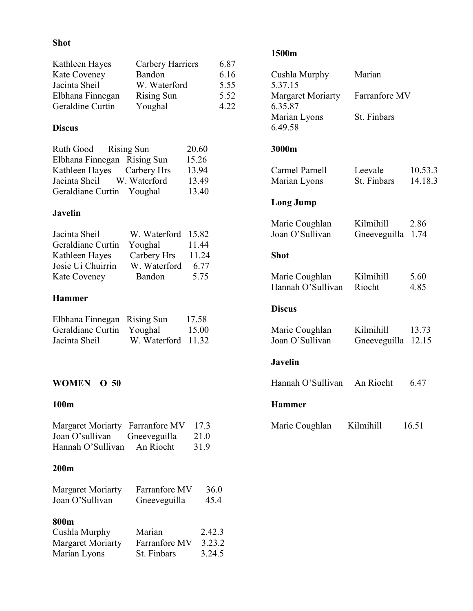## Shot

| Kathleen Hayes   | Carbery Harriers  | 6.87 |
|------------------|-------------------|------|
| Kate Coveney     | Bandon            | 6.16 |
| Jacinta Sheil    | W. Waterford      | 5.55 |
| Elbhana Finnegan | <b>Rising Sun</b> | 5.52 |
| Geraldine Curtin | Youghal           | 4 22 |

# Discus

| Ruth Good Rising Sun        | 20.60 |
|-----------------------------|-------|
| Elbhana Finnegan Rising Sun | 15.26 |
| Kathleen Hayes Carbery Hrs  | 13.94 |
| Jacinta Sheil W. Waterford  | 13.49 |
| Geraldiane Curtin Youghal   | 13.40 |

## Javelin

| W. Waterford 15.82 |       |
|--------------------|-------|
| Youghal            | 11.44 |
| Carbery Hrs        | 11.24 |
| W. Waterford       | 6.77  |
| Bandon             | 5.75  |
|                    |       |

# Hammer

| Elbhana Finnegan Rising Sun |                    | 17.58 |
|-----------------------------|--------------------|-------|
| Geraldiane Curtin Youghal   |                    | 15.00 |
| Jacinta Sheil               | W. Waterford 11.32 |       |

# WOMEN O 50

#### 100m

| Margaret Moriarty Farranfore MV |              | 17.3 |
|---------------------------------|--------------|------|
| Joan O'sullivan                 | Gneeveguilla | 21.0 |
| Hannah O'Sullivan               | An Riocht    | 31.9 |

# 200m

| <b>Margaret Moriarty</b> | Farranfore MV | 36.0 |
|--------------------------|---------------|------|
| Joan O'Sullivan          | Gneeveguilla  | 45.4 |
|                          |               |      |
| 800m                     |               |      |

| Cushla Murphy            | Marian        | 2.42.3 |
|--------------------------|---------------|--------|
| <b>Margaret Moriarty</b> | Farranfore MV | 3.23.2 |
| Marian Lyons             | St. Finbars   | 3.24.5 |

# 1500m

| Cushla Murphy<br>5.37.15            | Marian                    |                    |
|-------------------------------------|---------------------------|--------------------|
| <b>Margaret Moriarty</b><br>6.35.87 | Farranfore MV             |                    |
| Marian Lyons<br>6.49.58             | St. Finbars               |                    |
| 3000m                               |                           |                    |
| Carmel Parnell<br>Marian Lyons      | Leevale<br>St. Finbars    | 10.53.3<br>14.18.3 |
| <b>Long Jump</b>                    |                           |                    |
| Marie Coughlan<br>Joan O'Sullivan   | Kilmihill<br>Gneeveguilla | 2.86<br>1.74       |
| <b>Shot</b>                         |                           |                    |
| Marie Coughlan<br>Hannah O'Sullivan | Kilmihill<br>Riocht       | 5.60<br>4.85       |
| <b>Discus</b>                       |                           |                    |
| Marie Coughlan<br>Joan O'Sullivan   | Kilmihill<br>Gneeveguilla | 13.73<br>12.15     |
| <b>Javelin</b>                      |                           |                    |
| Hannah O'Sullivan                   | An Riocht                 | 6.47               |
| <b>Hammer</b>                       |                           |                    |
| Marie Coughlan                      | Kilmihill                 | 16.51              |